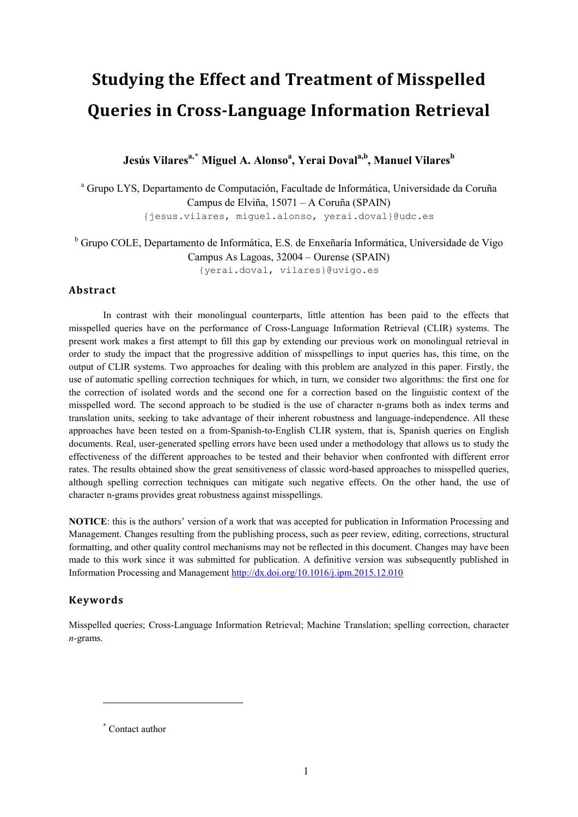# **Studying the Effect and Treatment of Misspelled Queries in Cross-Language Information Retrieval**

 ${\bf J}$ esús Vilares<sup>a,[\\*](#page-0-0)</sup> Miguel A. Alonso<sup>a</sup>, Yerai Doval<sup>a,b</sup>, Manuel Vilares $^{\rm b}$ 

<sup>a</sup> Grupo LYS, Departamento de Computación, Facultade de Informática, Universidade da Coruña Campus de Elviña, 15071 – A Coruña (SPAIN) {jesus.vilares, miguel.alonso, yerai.doval}@udc.es

<sup>b</sup> Grupo COLE, Departamento de Informática, E.S. de Enxeñaría Informática, Universidade de Vigo Campus As Lagoas, 32004 – Ourense (SPAIN) {yerai.doval, vilares}@uvigo.es

**Abstract**

In contrast with their monolingual counterparts, little attention has been paid to the effects that misspelled queries have on the performance of Cross-Language Information Retrieval (CLIR) systems. The present work makes a first attempt to fill this gap by extending our previous work on monolingual retrieval in order to study the impact that the progressive addition of misspellings to input queries has, this time, on the output of CLIR systems. Two approaches for dealing with this problem are analyzed in this paper. Firstly, the use of automatic spelling correction techniques for which, in turn, we consider two algorithms: the first one for the correction of isolated words and the second one for a correction based on the linguistic context of the misspelled word. The second approach to be studied is the use of character n-grams both as index terms and translation units, seeking to take advantage of their inherent robustness and language-independence. All these approaches have been tested on a from-Spanish-to-English CLIR system, that is, Spanish queries on English documents. Real, user-generated spelling errors have been used under a methodology that allows us to study the effectiveness of the different approaches to be tested and their behavior when confronted with different error rates. The results obtained show the great sensitiveness of classic word-based approaches to misspelled queries, although spelling correction techniques can mitigate such negative effects. On the other hand, the use of character n-grams provides great robustness against misspellings.

**NOTICE**: this is the authors' version of a work that was accepted for publication in Information Processing and Management. Changes resulting from the publishing process, such as peer review, editing, corrections, structural formatting, and other quality control mechanisms may not be reflected in this document. Changes may have been made to this work since it was submitted for publication. A definitive version was subsequently published in Information Processing and Managemen[t http://dx.doi.org/10.1016/j.ipm.2015.12.010](http://dx.doi.org/10.1016/j.ipm.2015.12.010) 

#### **Keywords**

 $\overline{a}$ 

Misspelled queries; Cross-Language Information Retrieval; Machine Translation; spelling correction, character *n-*grams.

<span id="page-0-0"></span>\* Contact author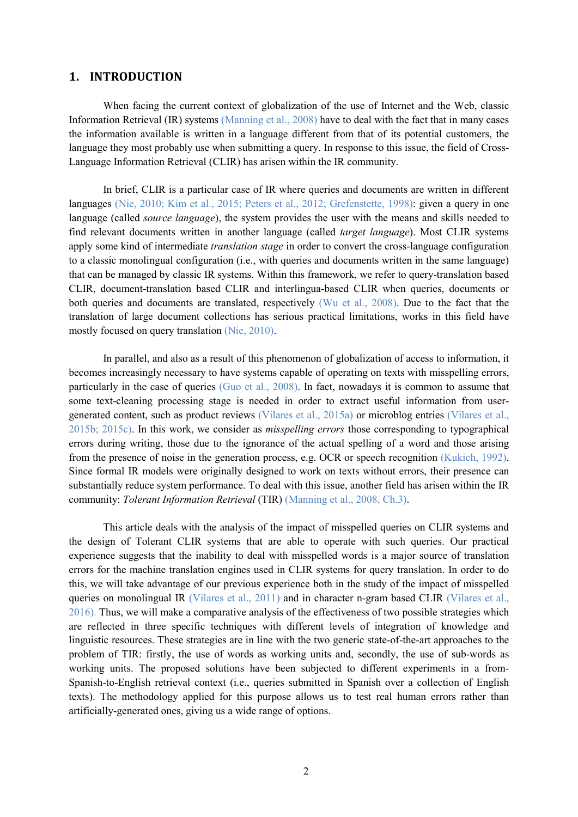#### **1. INTRODUCTION**

When facing the current context of globalization of the use of Internet and the Web, classic Information Retrieval (IR) systems (Manning et al., 2008) have to deal with the fact that in many cases the information available is written in a language different from that of its potential customers, the language they most probably use when submitting a query. In response to this issue, the field of Cross-Language Information Retrieval (CLIR) has arisen within the IR community.

In brief, CLIR is a particular case of IR where queries and documents are written in different languages (Nie, 2010; Kim et al., 2015; Peters et al., 2012; Grefenstette, 1998): given a query in one language (called *source language*), the system provides the user with the means and skills needed to find relevant documents written in another language (called *target language*). Most CLIR systems apply some kind of intermediate *translation stage* in order to convert the cross-language configuration to a classic monolingual configuration (i.e., with queries and documents written in the same language) that can be managed by classic IR systems. Within this framework, we refer to query-translation based CLIR, document-translation based CLIR and interlingua-based CLIR when queries, documents or both queries and documents are translated, respectively (Wu et al., 2008). Due to the fact that the translation of large document collections has serious practical limitations, works in this field have mostly focused on query translation (Nie, 2010).

In parallel, and also as a result of this phenomenon of globalization of access to information, it becomes increasingly necessary to have systems capable of operating on texts with misspelling errors, particularly in the case of queries (Guo et al., 2008). In fact, nowadays it is common to assume that some text-cleaning processing stage is needed in order to extract useful information from usergenerated content, such as product reviews (Vilares et al., 2015a) or microblog entries (Vilares et al., 2015b; 2015c). In this work, we consider as *misspelling errors* those corresponding to typographical errors during writing, those due to the ignorance of the actual spelling of a word and those arising from the presence of noise in the generation process, e.g. OCR or speech recognition (Kukich, 1992). Since formal IR models were originally designed to work on texts without errors, their presence can substantially reduce system performance. To deal with this issue, another field has arisen within the IR community: *Tolerant Information Retrieval* (TIR) (Manning et al., 2008, Ch.3).

This article deals with the analysis of the impact of misspelled queries on CLIR systems and the design of Tolerant CLIR systems that are able to operate with such queries. Our practical experience suggests that the inability to deal with misspelled words is a major source of translation errors for the machine translation engines used in CLIR systems for query translation. In order to do this, we will take advantage of our previous experience both in the study of the impact of misspelled queries on monolingual IR (Vilares et al., 2011) and in character n-gram based CLIR (Vilares et al., 2016). Thus, we will make a comparative analysis of the effectiveness of two possible strategies which are reflected in three specific techniques with different levels of integration of knowledge and linguistic resources. These strategies are in line with the two generic state-of-the-art approaches to the problem of TIR: firstly, the use of words as working units and, secondly, the use of sub-words as working units. The proposed solutions have been subjected to different experiments in a from-Spanish-to-English retrieval context (i.e., queries submitted in Spanish over a collection of English texts). The methodology applied for this purpose allows us to test real human errors rather than artificially-generated ones, giving us a wide range of options.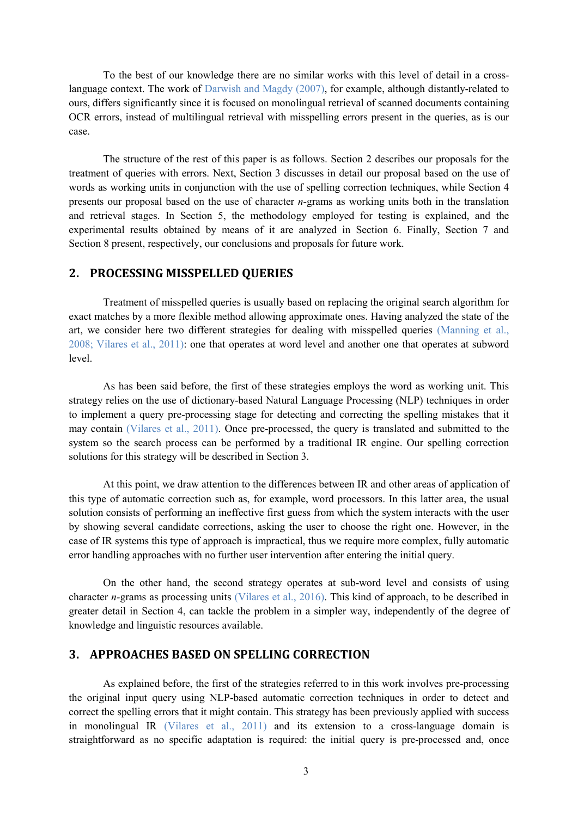To the best of our knowledge there are no similar works with this level of detail in a crosslanguage context. The work of Darwish and Magdy (2007), for example, although distantly-related to ours, differs significantly since it is focused on monolingual retrieval of scanned documents containing OCR errors, instead of multilingual retrieval with misspelling errors present in the queries, as is our case.

The structure of the rest of this paper is as follows. Section 2 describes our proposals for the treatment of queries with errors. Next, Section 3 discusses in detail our proposal based on the use of words as working units in conjunction with the use of spelling correction techniques, while Section 4 presents our proposal based on the use of character *n-*grams as working units both in the translation and retrieval stages. In Section 5, the methodology employed for testing is explained, and the experimental results obtained by means of it are analyzed in Section 6. Finally, Section 7 and Section 8 present, respectively, our conclusions and proposals for future work.

#### **2. PROCESSING MISSPELLED QUERIES**

Treatment of misspelled queries is usually based on replacing the original search algorithm for exact matches by a more flexible method allowing approximate ones. Having analyzed the state of the art, we consider here two different strategies for dealing with misspelled queries (Manning et al., 2008; Vilares et al., 2011): one that operates at word level and another one that operates at subword level.

As has been said before, the first of these strategies employs the word as working unit. This strategy relies on the use of dictionary-based Natural Language Processing (NLP) techniques in order to implement a query pre-processing stage for detecting and correcting the spelling mistakes that it may contain (Vilares et al., 2011). Once pre-processed, the query is translated and submitted to the system so the search process can be performed by a traditional IR engine. Our spelling correction solutions for this strategy will be described in Section 3.

At this point, we draw attention to the differences between IR and other areas of application of this type of automatic correction such as, for example, word processors. In this latter area, the usual solution consists of performing an ineffective first guess from which the system interacts with the user by showing several candidate corrections, asking the user to choose the right one. However, in the case of IR systems this type of approach is impractical, thus we require more complex, fully automatic error handling approaches with no further user intervention after entering the initial query.

On the other hand, the second strategy operates at sub-word level and consists of using character *n-*grams as processing units (Vilares et al., 2016). This kind of approach, to be described in greater detail in Section 4, can tackle the problem in a simpler way, independently of the degree of knowledge and linguistic resources available.

#### **3. APPROACHES BASED ON SPELLING CORRECTION**

As explained before, the first of the strategies referred to in this work involves pre-processing the original input query using NLP-based automatic correction techniques in order to detect and correct the spelling errors that it might contain. This strategy has been previously applied with success in monolingual IR (Vilares et al., 2011) and its extension to a cross-language domain is straightforward as no specific adaptation is required: the initial query is pre-processed and, once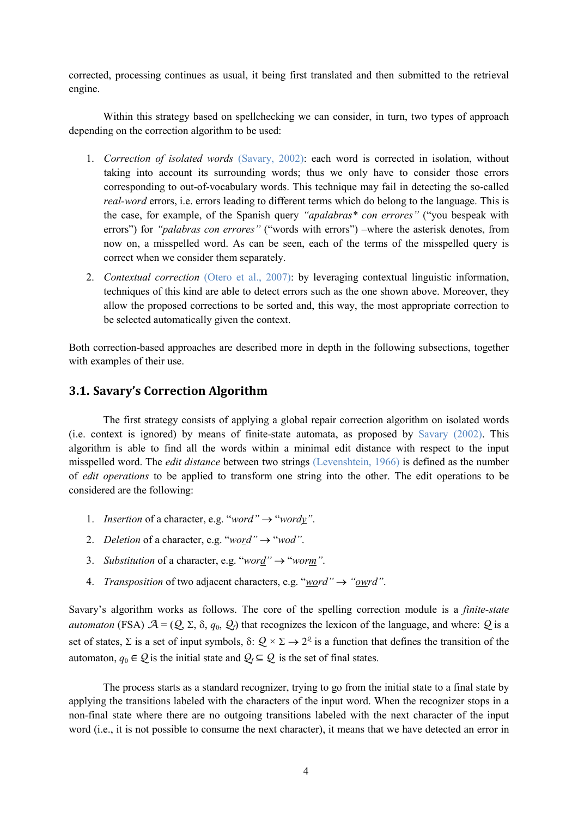corrected, processing continues as usual, it being first translated and then submitted to the retrieval engine.

Within this strategy based on spellchecking we can consider, in turn, two types of approach depending on the correction algorithm to be used:

- 1. *Correction of isolated words* (Savary, 2002): each word is corrected in isolation, without taking into account its surrounding words; thus we only have to consider those errors corresponding to out-of-vocabulary words. This technique may fail in detecting the so-called *real-word* errors, i.e. errors leading to different terms which do belong to the language. This is the case, for example, of the Spanish query *"apalabras\* con errores"* ("you bespeak with errors") for *"palabras con errores"* ("words with errors") –where the asterisk denotes, from now on, a misspelled word. As can be seen, each of the terms of the misspelled query is correct when we consider them separately.
- 2. *Contextual correction* (Otero et al., 2007): by leveraging contextual linguistic information, techniques of this kind are able to detect errors such as the one shown above. Moreover, they allow the proposed corrections to be sorted and, this way, the most appropriate correction to be selected automatically given the context.

Both correction-based approaches are described more in depth in the following subsections, together with examples of their use.

## **3.1. Savary's Correction Algorithm**

The first strategy consists of applying a global repair correction algorithm on isolated words (i.e. context is ignored) by means of finite-state automata, as proposed by Savary (2002). This algorithm is able to find all the words within a minimal edit distance with respect to the input misspelled word. The *edit distance* between two strings (Levenshtein, 1966) is defined as the number of *edit operations* to be applied to transform one string into the other. The edit operations to be considered are the following:

- 1. *Insertion* of a character, e.g. "*word"* → "*wordy"*.
- 2. *Deletion* of a character, e.g. "*word*" $\rightarrow$  "*wod*".
- 3. *Substitution* of a character, e.g. "*word"* → "*worm"*.
- 4. *Transposition* of two adjacent characters, e.g. "*word"* → *"owrd"*.

Savary's algorithm works as follows. The core of the spelling correction module is a *finite-state automaton* (FSA)  $A = (Q, \Sigma, \delta, q_0, Q)$  that recognizes the lexicon of the language, and where: *Q* is a set of states,  $\Sigma$  is a set of input symbols,  $\delta: \mathcal{Q} \times \Sigma \to 2^{\mathcal{Q}}$  is a function that defines the transition of the automaton,  $q_0 \in \mathcal{Q}$  is the initial state and  $\mathcal{Q}_f \subseteq \mathcal{Q}$  is the set of final states.

The process starts as a standard recognizer, trying to go from the initial state to a final state by applying the transitions labeled with the characters of the input word. When the recognizer stops in a non-final state where there are no outgoing transitions labeled with the next character of the input word (i.e., it is not possible to consume the next character), it means that we have detected an error in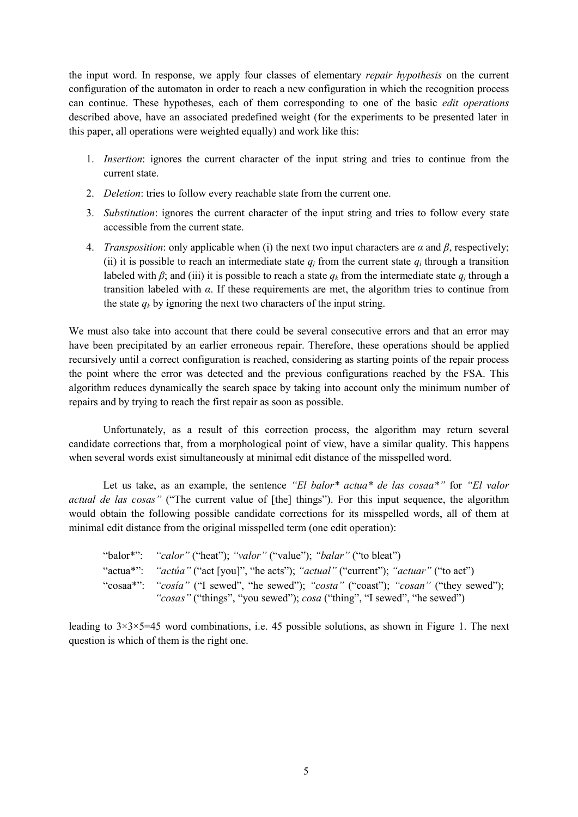the input word. In response, we apply four classes of elementary *repair hypothesis* on the current configuration of the automaton in order to reach a new configuration in which the recognition process can continue. These hypotheses, each of them corresponding to one of the basic *edit operations* described above, have an associated predefined weight (for the experiments to be presented later in this paper, all operations were weighted equally) and work like this:

- 1. *Insertion*: ignores the current character of the input string and tries to continue from the current state.
- 2. *Deletion*: tries to follow every reachable state from the current one.
- 3. *Substitution*: ignores the current character of the input string and tries to follow every state accessible from the current state.
- 4. *Transposition*: only applicable when (i) the next two input characters are *α* and *β*, respectively; (ii) it is possible to reach an intermediate state  $q_i$  from the current state  $q_i$  through a transition labeled with  $\beta$ ; and (iii) it is possible to reach a state  $q_k$  from the intermediate state  $q_i$  through a transition labeled with *α*. If these requirements are met, the algorithm tries to continue from the state  $q_k$  by ignoring the next two characters of the input string.

We must also take into account that there could be several consecutive errors and that an error may have been precipitated by an earlier erroneous repair. Therefore, these operations should be applied recursively until a correct configuration is reached, considering as starting points of the repair process the point where the error was detected and the previous configurations reached by the FSA. This algorithm reduces dynamically the search space by taking into account only the minimum number of repairs and by trying to reach the first repair as soon as possible.

Unfortunately, as a result of this correction process, the algorithm may return several candidate corrections that, from a morphological point of view, have a similar quality. This happens when several words exist simultaneously at minimal edit distance of the misspelled word.

Let us take, as an example, the sentence *"El balor\* actua\* de las cosaa\*"* for *"El valor actual de las cosas"* ("The current value of [the] things"). For this input sequence, the algorithm would obtain the following possible candidate corrections for its misspelled words, all of them at minimal edit distance from the original misspelled term (one edit operation):

| "balor*": "calor" ("heat"); "valor" ("value"); "balar" ("to bleat")                                                                                             |
|-----------------------------------------------------------------------------------------------------------------------------------------------------------------|
| "actua*": "actua" ("act [you]", "he acts"); "actual" ("current"); "actuar" ("to act")                                                                           |
| "cosaa*": "cosia" ("I sewed", "he sewed"); "costa" ("coast"); "cosan" ("they sewed");<br>"cosas" ("things", "you sewed"); cosa ("thing", "I sewed", "he sewed") |

leading to  $3\times3\times5=45$  word combinations, i.e. 45 possible solutions, as shown in Figure 1. The next question is which of them is the right one.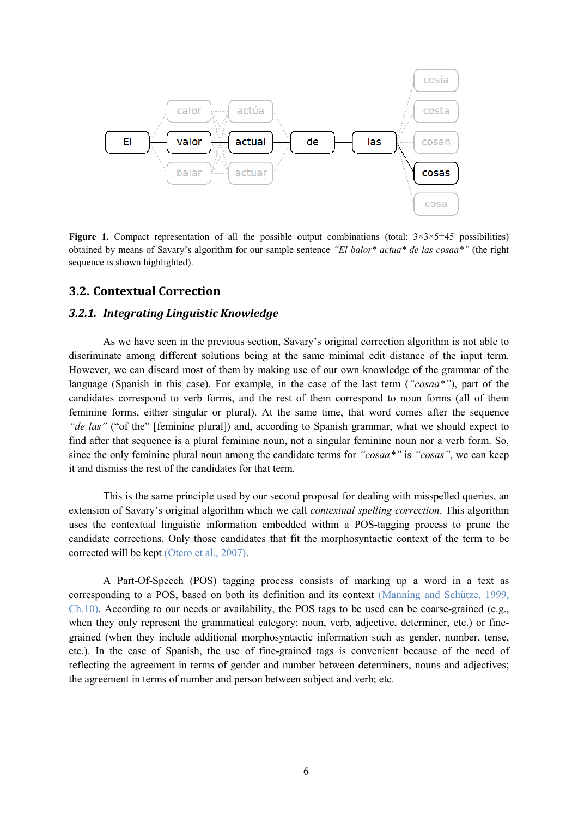

**Figure 1.** Compact representation of all the possible output combinations (total:  $3 \times 3 \times 5 = 45$  possibilities) obtained by means of Savary's algorithm for our sample sentence *"El balor\* actua\* de las cosaa\*"* (the right sequence is shown highlighted).

#### **3.2. Contextual Correction**

#### *3.2.1. Integrating Linguistic Knowledge*

As we have seen in the previous section, Savary's original correction algorithm is not able to discriminate among different solutions being at the same minimal edit distance of the input term. However, we can discard most of them by making use of our own knowledge of the grammar of the language (Spanish in this case). For example, in the case of the last term (*"cosaa\*"*), part of the candidates correspond to verb forms, and the rest of them correspond to noun forms (all of them feminine forms, either singular or plural). At the same time, that word comes after the sequence *"de las"* ("of the" [feminine plural]) and, according to Spanish grammar, what we should expect to find after that sequence is a plural feminine noun, not a singular feminine noun nor a verb form. So, since the only feminine plural noun among the candidate terms for *"cosaa\*"* is *"cosas"*, we can keep it and dismiss the rest of the candidates for that term.

This is the same principle used by our second proposal for dealing with misspelled queries, an extension of Savary's original algorithm which we call *contextual spelling correction*. This algorithm uses the contextual linguistic information embedded within a POS-tagging process to prune the candidate corrections. Only those candidates that fit the morphosyntactic context of the term to be corrected will be kept (Otero et al., 2007).

A Part-Of-Speech (POS) tagging process consists of marking up a word in a text as corresponding to a POS, based on both its definition and its context (Manning and Schütze, 1999, Ch.10). According to our needs or availability, the POS tags to be used can be coarse-grained (e.g., when they only represent the grammatical category: noun, verb, adjective, determiner, etc.) or finegrained (when they include additional morphosyntactic information such as gender, number, tense, etc.). In the case of Spanish, the use of fine-grained tags is convenient because of the need of reflecting the agreement in terms of gender and number between determiners, nouns and adjectives; the agreement in terms of number and person between subject and verb; etc.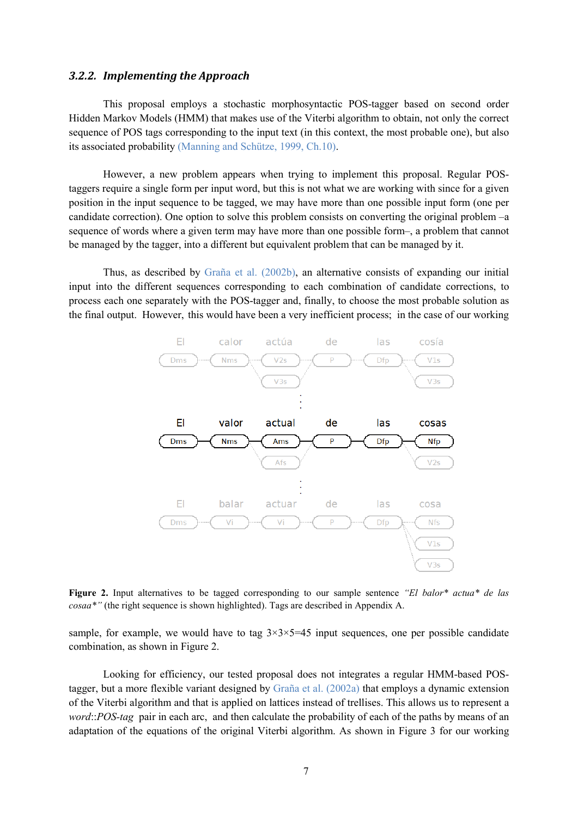#### *3.2.2. Implementing the Approach*

This proposal employs a stochastic morphosyntactic POS-tagger based on second order Hidden Markov Models (HMM) that makes use of the Viterbi algorithm to obtain, not only the correct sequence of POS tags corresponding to the input text (in this context, the most probable one), but also its associated probability (Manning and Schütze, 1999, Ch.10).

However, a new problem appears when trying to implement this proposal. Regular POStaggers require a single form per input word, but this is not what we are working with since for a given position in the input sequence to be tagged, we may have more than one possible input form (one per candidate correction). One option to solve this problem consists on converting the original problem –a sequence of words where a given term may have more than one possible form–, a problem that cannot be managed by the tagger, into a different but equivalent problem that can be managed by it.

Thus, as described by Graña et al. (2002b), an alternative consists of expanding our initial input into the different sequences corresponding to each combination of candidate corrections, to process each one separately with the POS-tagger and, finally, to choose the most probable solution as the final output. However, this would have been a very inefficient process; in the case of our working



**Figure 2.** Input alternatives to be tagged corresponding to our sample sentence *"El balor\* actua\* de las cosaa\*"* (the right sequence is shown highlighted). Tags are described in Appendix A.

sample, for example, we would have to tag  $3\times3\times5=45$  input sequences, one per possible candidate combination, as shown in Figure 2.

Looking for efficiency, our tested proposal does not integrates a regular HMM-based POStagger, but a more flexible variant designed by Graña et al. (2002a) that employs a dynamic extension of the Viterbi algorithm and that is applied on lattices instead of trellises. This allows us to represent a *word*::*POS-tag* pair in each arc, and then calculate the probability of each of the paths by means of an adaptation of the equations of the original Viterbi algorithm. As shown in Figure 3 for our working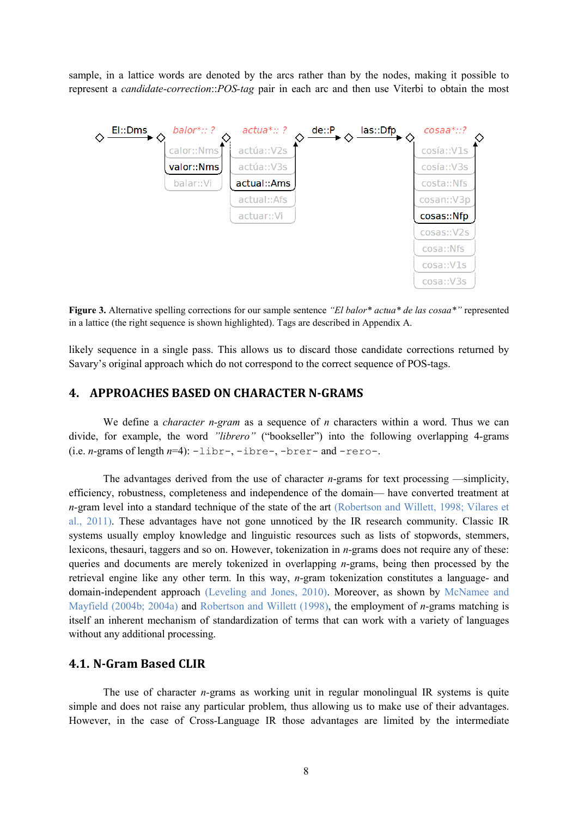sample, in a lattice words are denoted by the arcs rather than by the nodes, making it possible to represent a *candidate-correction*::*POS-tag* pair in each arc and then use Viterbi to obtain the most



**Figure 3.** Alternative spelling corrections for our sample sentence *"El balor\* actua\* de las cosaa\*"* represented in a lattice (the right sequence is shown highlighted). Tags are described in Appendix A.

likely sequence in a single pass. This allows us to discard those candidate corrections returned by Savary's original approach which do not correspond to the correct sequence of POS-tags.

## **4. APPROACHES BASED ON CHARACTER N-GRAMS**

We define a *character n-gram* as a sequence of *n* characters within a word. Thus we can divide, for example, the word *"librero"* ("bookseller") into the following overlapping 4-grams (i.e. *n*-grams of length *n*=4): -libr-, -ibre-, -brer- and -rero-.

The advantages derived from the use of character *n*-grams for text processing —simplicity, efficiency, robustness, completeness and independence of the domain— have converted treatment at *n-*gram level into a standard technique of the state of the art (Robertson and Willett, 1998; Vilares et al., 2011). These advantages have not gone unnoticed by the IR research community. Classic IR systems usually employ knowledge and linguistic resources such as lists of stopwords, stemmers, lexicons, thesauri, taggers and so on. However, tokenization in *n*-grams does not require any of these: queries and documents are merely tokenized in overlapping *n*-grams, being then processed by the retrieval engine like any other term. In this way, *n*-gram tokenization constitutes a language- and domain-independent approach (Leveling and Jones, 2010). Moreover, as shown by McNamee and Mayfield (2004b; 2004a) and Robertson and Willett (1998), the employment of *n*-grams matching is itself an inherent mechanism of standardization of terms that can work with a variety of languages without any additional processing.

#### **4.1. N-Gram Based CLIR**

The use of character *n-*grams as working unit in regular monolingual IR systems is quite simple and does not raise any particular problem, thus allowing us to make use of their advantages. However, in the case of Cross-Language IR those advantages are limited by the intermediate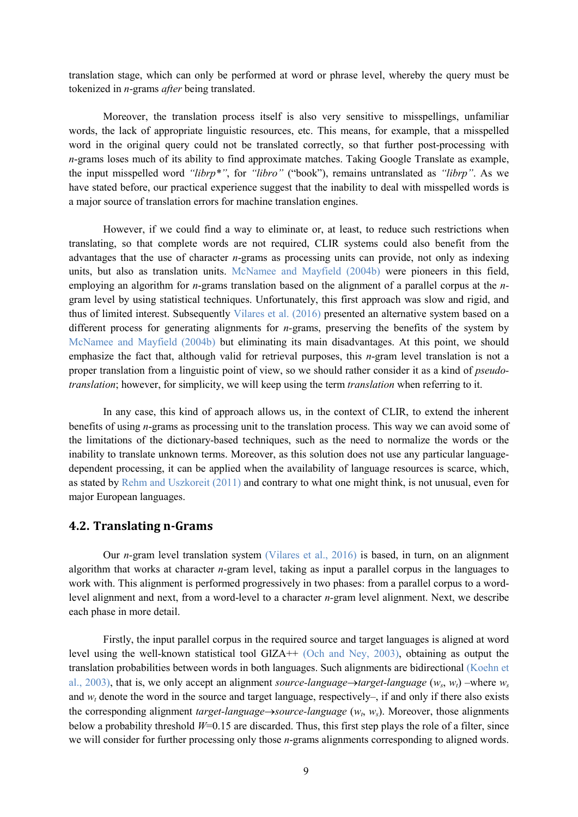translation stage, which can only be performed at word or phrase level, whereby the query must be tokenized in *n*-grams *after* being translated.

Moreover, the translation process itself is also very sensitive to misspellings, unfamiliar words, the lack of appropriate linguistic resources, etc. This means, for example, that a misspelled word in the original query could not be translated correctly, so that further post-processing with *n*-grams loses much of its ability to find approximate matches. Taking Google Translate as example, the input misspelled word *"librp\*"*, for *"libro"* ("book"), remains untranslated as *"librp"*. As we have stated before, our practical experience suggest that the inability to deal with misspelled words is a major source of translation errors for machine translation engines.

However, if we could find a way to eliminate or, at least, to reduce such restrictions when translating, so that complete words are not required, CLIR systems could also benefit from the advantages that the use of character *n*-grams as processing units can provide, not only as indexing units, but also as translation units. McNamee and Mayfield (2004b) were pioneers in this field, employing an algorithm for *n*-grams translation based on the alignment of a parallel corpus at the *n*gram level by using statistical techniques. Unfortunately, this first approach was slow and rigid, and thus of limited interest. Subsequently Vilares et al. (2016) presented an alternative system based on a different process for generating alignments for *n-*grams, preserving the benefits of the system by McNamee and Mayfield (2004b) but eliminating its main disadvantages. At this point, we should emphasize the fact that, although valid for retrieval purposes, this *n*-gram level translation is not a proper translation from a linguistic point of view, so we should rather consider it as a kind of *pseudotranslation*; however, for simplicity, we will keep using the term *translation* when referring to it.

In any case, this kind of approach allows us, in the context of CLIR, to extend the inherent benefits of using *n*-grams as processing unit to the translation process. This way we can avoid some of the limitations of the dictionary-based techniques, such as the need to normalize the words or the inability to translate unknown terms. Moreover, as this solution does not use any particular languagedependent processing, it can be applied when the availability of language resources is scarce, which, as stated by Rehm and Uszkoreit (2011) and contrary to what one might think, is not unusual, even for major European languages.

## **4.2. Translating n-Grams**

Our *n-*gram level translation system (Vilares et al., 2016) is based, in turn, on an alignment algorithm that works at character *n*-gram level, taking as input a parallel corpus in the languages to work with. This alignment is performed progressively in two phases: from a parallel corpus to a wordlevel alignment and next, from a word-level to a character *n-*gram level alignment. Next, we describe each phase in more detail.

Firstly, the input parallel corpus in the required source and target languages is aligned at word level using the well-known statistical tool GIZA++ (Och and Ney, 2003), obtaining as output the translation probabilities between words in both languages. Such alignments are bidirectional (Koehn et al., 2003), that is, we only accept an alignment *source-language*→*target-language* ( $w_s$ ,  $w_t$ ) –where  $w_s$ and  $w_t$  denote the word in the source and target language, respectively–, if and only if there also exists the corresponding alignment *target-language*→*source-language* (*wt*, *ws*). Moreover, those alignments below a probability threshold *W*=0.15 are discarded. Thus, this first step plays the role of a filter, since we will consider for further processing only those *n*-grams alignments corresponding to aligned words.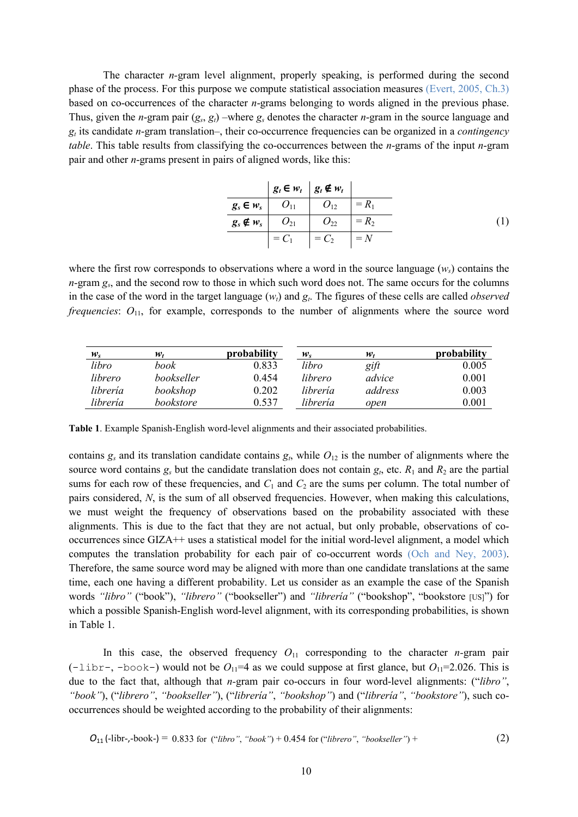The character *n-*gram level alignment, properly speaking, is performed during the second phase of the process. For this purpose we compute statistical association measures (Evert, 2005, Ch.3) based on co-occurrences of the character *n*-grams belonging to words aligned in the previous phase. Thus, given the *n*-gram pair  $(g_s, g_t)$  –where  $g_s$  denotes the character *n*-gram in the source language and  $g_t$  its candidate *n*-gram translation–, their co-occurrence frequencies can be organized in a *contingency table*. This table results from classifying the co-occurrences between the *n*-grams of the input *n*-gram pair and other *n*-grams present in pairs of aligned words, like this:

|  | $ g_t \in w_t   g_t \notin w_t  $                    |             |
|--|------------------------------------------------------|-------------|
|  | $g_s \in w_s$   $O_{11}$   $O_{12}$   = $R_1$        |             |
|  | $g_s \notin w_s$ $O_{21}$ $O_{22}$ $=\overline{R_2}$ |             |
|  | $= C_1$ $= C_2$                                      | $\vert$ = N |

where the first row corresponds to observations where a word in the source language  $(w_s)$  contains the *n*-gram *gs*, and the second row to those in which such word does not. The same occurs for the columns in the case of the word in the target language ( $w_t$ ) and  $g_t$ . The figures of these cells are called *observed frequencies*:  $O_{11}$ , for example, corresponds to the number of alignments where the source word

| $w_{s}$  | w.         | probability | $w_{\rm c}$ | w.      | probability |
|----------|------------|-------------|-------------|---------|-------------|
| libro    | book       | 0.833       | libro       | gift    | 0.005       |
| librero  | bookseller | 0.454       | librero     | advice  | 0.001       |
| librería | bookshop   | 0.202       | librería    | address | 0.003       |
| librería | bookstore  | 0.537       | librería    | open    | 0.001       |

**Table 1**. Example Spanish-English word-level alignments and their associated probabilities.

contains  $g_s$  and its translation candidate contains  $g_t$ , while  $O_{12}$  is the number of alignments where the source word contains  $g_s$  but the candidate translation does not contain  $g_t$ , etc.  $R_1$  and  $R_2$  are the partial sums for each row of these frequencies, and  $C_1$  and  $C_2$  are the sums per column. The total number of pairs considered, *N*, is the sum of all observed frequencies. However, when making this calculations, we must weight the frequency of observations based on the probability associated with these alignments. This is due to the fact that they are not actual, but only probable, observations of cooccurrences since GIZA++ uses a statistical model for the initial word-level alignment, a model which computes the translation probability for each pair of co-occurrent words (Och and Ney, 2003). Therefore, the same source word may be aligned with more than one candidate translations at the same time, each one having a different probability. Let us consider as an example the case of the Spanish words *"libro"* ("book"), *"librero"* ("bookseller") and *"librería"* ("bookshop", "bookstore [US]") for which a possible Spanish-English word-level alignment, with its corresponding probabilities, is shown in Table 1.

In this case, the observed frequency  $O_{11}$  corresponding to the character *n*-gram pair ( $-1$ ibr-,  $-$ book-) would not be  $O_{11}=4$  as we could suppose at first glance, but  $O_{11}=2.026$ . This is due to the fact that, although that *n-*gram pair co-occurs in four word-level alignments: ("*libro"*, *"book"*), ("*librero"*, *"bookseller"*), ("*librería"*, *"bookshop"*) and ("*librería"*, *"bookstore"*), such cooccurrences should be weighted according to the probability of their alignments:

$$
O_{11}(-libr, -book-) = 0.833 for ("libro", "book") + 0.454 for ("librero", "bookseller") +
$$
 (2)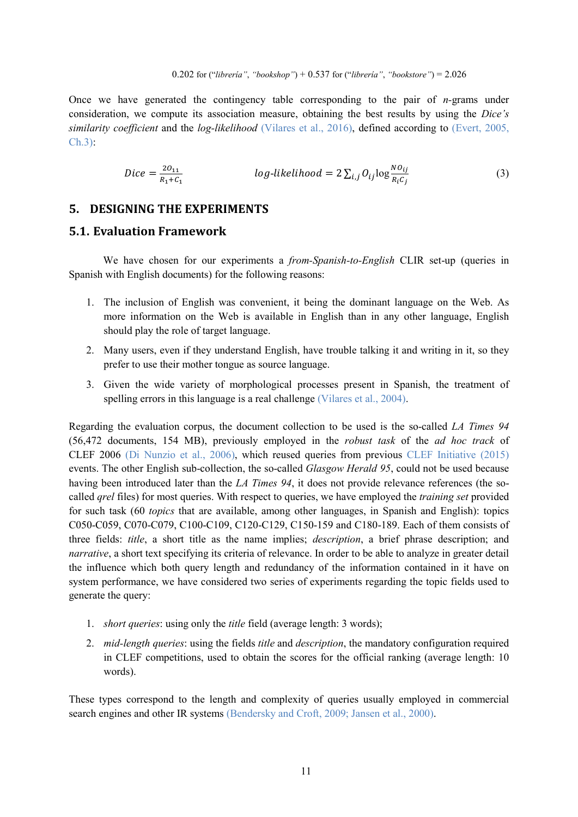Once we have generated the contingency table corresponding to the pair of *n-*grams under consideration, we compute its association measure, obtaining the best results by using the *Dice's similarity coefficient* and the *log-likelihood* (Vilares et al., 2016), defined according to (Evert, 2005, Ch.3):

$$
Dice = \frac{2O_{11}}{R_1 + C_1}
$$
  $log-likelihood = 2\sum_{i,j} O_{ij} \log \frac{NO_{ij}}{R_i C_j}$  (3)

# **5. DESIGNING THE EXPERIMENTS**

# **5.1. Evaluation Framework**

We have chosen for our experiments a *from-Spanish-to-English* CLIR set-up (queries in Spanish with English documents) for the following reasons:

- 1. The inclusion of English was convenient, it being the dominant language on the Web. As more information on the Web is available in English than in any other language, English should play the role of target language.
- 2. Many users, even if they understand English, have trouble talking it and writing in it, so they prefer to use their mother tongue as source language.
- 3. Given the wide variety of morphological processes present in Spanish, the treatment of spelling errors in this language is a real challenge (Vilares et al., 2004).

Regarding the evaluation corpus, the document collection to be used is the so-called *LA Times 94* (56,472 documents, 154 MB), previously employed in the *robust task* of the *ad hoc track* of CLEF 2006 (Di Nunzio et al., 2006), which reused queries from previous CLEF Initiative (2015) events. The other English sub-collection, the so-called *Glasgow Herald 95*, could not be used because having been introduced later than the *LA Times 94*, it does not provide relevance references (the socalled *qrel* files) for most queries. With respect to queries, we have employed the *training set* provided for such task (60 *topics* that are available, among other languages, in Spanish and English): topics C050-C059, C070-C079, C100-C109, C120-C129, C150-159 and C180-189. Each of them consists of three fields: *title*, a short title as the name implies; *description*, a brief phrase description; and *narrative*, a short text specifying its criteria of relevance. In order to be able to analyze in greater detail the influence which both query length and redundancy of the information contained in it have on system performance, we have considered two series of experiments regarding the topic fields used to generate the query:

- 1. *short queries*: using only the *title* field (average length: 3 words);
- 2. *mid-length queries*: using the fields *title* and *description*, the mandatory configuration required in CLEF competitions, used to obtain the scores for the official ranking (average length: 10 words).

These types correspond to the length and complexity of queries usually employed in commercial search engines and other IR systems (Bendersky and Croft, 2009; Jansen et al., 2000).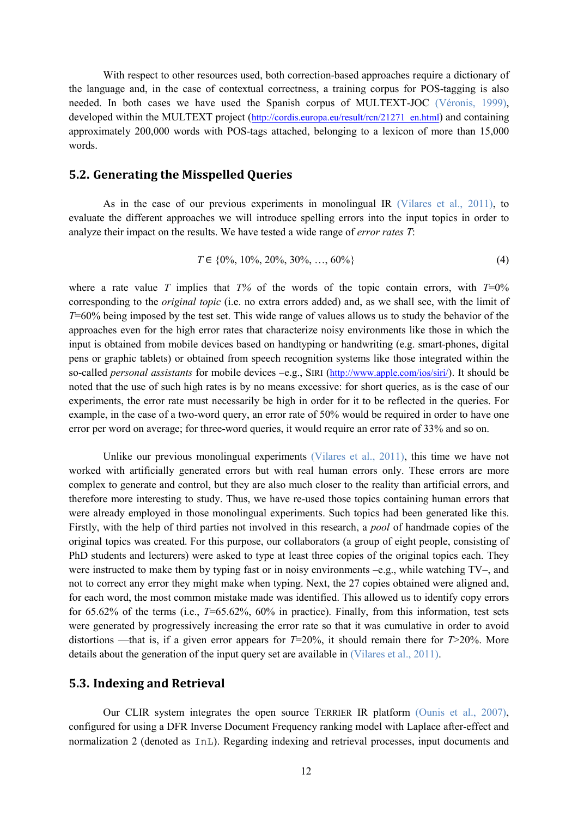With respect to other resources used, both correction-based approaches require a dictionary of the language and, in the case of contextual correctness, a training corpus for POS-tagging is also needed. In both cases we have used the Spanish corpus of MULTEXT-JOC (Véronis, 1999), developed within the MULTEXT project [\(http://cordis.europa.eu/result/rcn/21271\\_en.html\)](http://cordis.europa.eu/result/rcn/21271_en.html) and containing approximately 200,000 words with POS-tags attached, belonging to a lexicon of more than 15,000 words.

#### **5.2. Generating the Misspelled Queries**

As in the case of our previous experiments in monolingual IR (Vilares et al., 2011), to evaluate the different approaches we will introduce spelling errors into the input topics in order to analyze their impact on the results. We have tested a wide range of *error rates T*:

$$
T \in \{0\%, 10\%, 20\%, 30\%, \dots, 60\%\}\
$$
 (4)

where a rate value *T* implies that  $T\%$  of the words of the topic contain errors, with  $T=0\%$ corresponding to the *original topic* (i.e. no extra errors added) and, as we shall see, with the limit of *T*=60% being imposed by the test set. This wide range of values allows us to study the behavior of the approaches even for the high error rates that characterize noisy environments like those in which the input is obtained from mobile devices based on handtyping or handwriting (e.g. smart-phones, digital pens or graphic tablets) or obtained from speech recognition systems like those integrated within the so-called *personal assistants* for mobile devices –e.g., SIRI [\(http://www.apple.com/ios/siri/\)](http://www.apple.com/ios/siri/). It should be noted that the use of such high rates is by no means excessive: for short queries, as is the case of our experiments, the error rate must necessarily be high in order for it to be reflected in the queries. For example, in the case of a two-word query, an error rate of 50% would be required in order to have one error per word on average; for three-word queries, it would require an error rate of 33% and so on.

Unlike our previous monolingual experiments (Vilares et al., 2011), this time we have not worked with artificially generated errors but with real human errors only. These errors are more complex to generate and control, but they are also much closer to the reality than artificial errors, and therefore more interesting to study. Thus, we have re-used those topics containing human errors that were already employed in those monolingual experiments. Such topics had been generated like this. Firstly, with the help of third parties not involved in this research, a *pool* of handmade copies of the original topics was created. For this purpose, our collaborators (a group of eight people, consisting of PhD students and lecturers) were asked to type at least three copies of the original topics each. They were instructed to make them by typing fast or in noisy environments  $-e.g.,$  while watching TV–, and not to correct any error they might make when typing. Next, the 27 copies obtained were aligned and, for each word, the most common mistake made was identified. This allowed us to identify copy errors for 65.62% of the terms (i.e., *T*=65.62%, 60% in practice). Finally, from this information, test sets were generated by progressively increasing the error rate so that it was cumulative in order to avoid distortions —that is, if a given error appears for  $T=20\%$ , it should remain there for  $T>20\%$ . More details about the generation of the input query set are available in (Vilares et al., 2011).

#### **5.3. Indexing and Retrieval**

Our CLIR system integrates the open source TERRIER IR platform (Ounis et al., 2007), configured for using a DFR Inverse Document Frequency ranking model with Laplace after-effect and normalization 2 (denoted as InL). Regarding indexing and retrieval processes, input documents and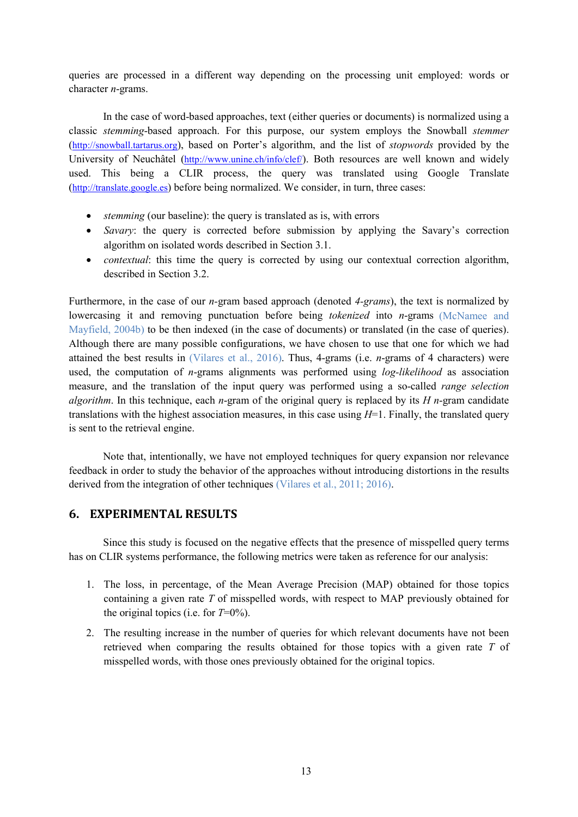queries are processed in a different way depending on the processing unit employed: words or character *n*-grams.

In the case of word-based approaches, text (either queries or documents) is normalized using a classic *stemming*-based approach. For this purpose, our system employs the Snowball *stemmer* [\(http://snowball.tartarus.org\)](http://snowball.tartarus.org/), based on Porter's algorithm, and the list of *stopwords* provided by the University of Neuchâtel [\(http://www.unine.ch/info/clef/\)](http://www.unine.ch/info/clef/). Both resources are well known and widely used. This being a CLIR process, the query was translated using Google Translate [\(http://translate.google.es\)](http://translate.google.es/) before being normalized. We consider, in turn, three cases:

- *stemming* (our baseline): the query is translated as is, with errors
- *Savary*: the query is corrected before submission by applying the Savary's correction algorithm on isolated words described in Section 3.1.
- *contextual*: this time the query is corrected by using our contextual correction algorithm, described in Section 3.2.

Furthermore, in the case of our *n-*gram based approach (denoted *4-grams*), the text is normalized by lowercasing it and removing punctuation before being *tokenized* into *n*-grams (McNamee and Mayfield, 2004b) to be then indexed (in the case of documents) or translated (in the case of queries). Although there are many possible configurations, we have chosen to use that one for which we had attained the best results in (Vilares et al., 2016). Thus, 4-grams (i.e. *n*-grams of 4 characters) were used, the computation of *n*-grams alignments was performed using *log-likelihood* as association measure, and the translation of the input query was performed using a so-called *range selection algorithm*. In this technique, each *n*-gram of the original query is replaced by its *H n*-gram candidate translations with the highest association measures, in this case using *H*=1. Finally, the translated query is sent to the retrieval engine.

Note that, intentionally, we have not employed techniques for query expansion nor relevance feedback in order to study the behavior of the approaches without introducing distortions in the results derived from the integration of other techniques (Vilares et al., 2011; 2016).

## **6. EXPERIMENTAL RESULTS**

Since this study is focused on the negative effects that the presence of misspelled query terms has on CLIR systems performance, the following metrics were taken as reference for our analysis:

- 1. The loss, in percentage, of the Mean Average Precision (MAP) obtained for those topics containing a given rate *T* of misspelled words, with respect to MAP previously obtained for the original topics (i.e. for *T*=0%).
- 2. The resulting increase in the number of queries for which relevant documents have not been retrieved when comparing the results obtained for those topics with a given rate *T* of misspelled words, with those ones previously obtained for the original topics.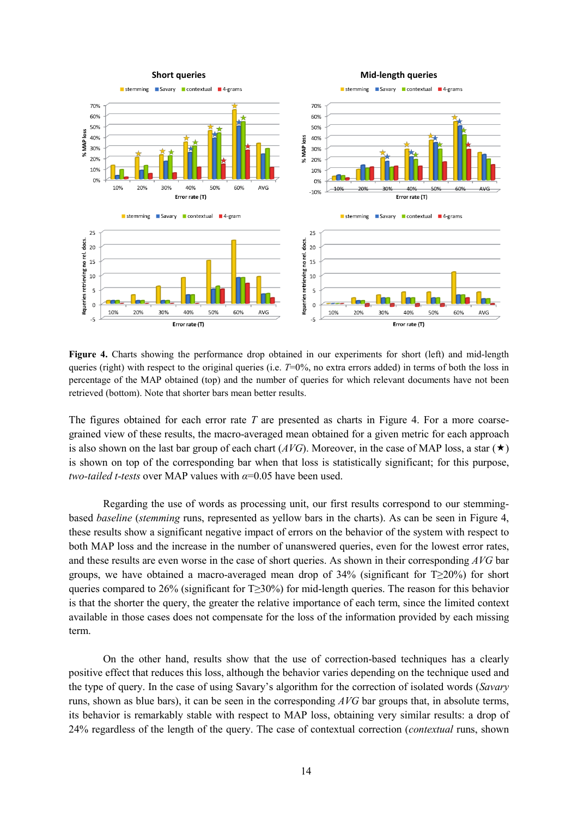

**Figure 4.** Charts showing the performance drop obtained in our experiments for short (left) and mid-length queries (right) with respect to the original queries (i.e.  $T=0\%$ , no extra errors added) in terms of both the loss in percentage of the MAP obtained (top) and the number of queries for which relevant documents have not been retrieved (bottom). Note that shorter bars mean better results.

The figures obtained for each error rate *T* are presented as charts in Figure 4. For a more coarsegrained view of these results, the macro-averaged mean obtained for a given metric for each approach is also shown on the last bar group of each chart ( $AVG$ ). Moreover, in the case of MAP loss, a star ( $\star$ ) is shown on top of the corresponding bar when that loss is statistically significant; for this purpose, *two-tailed t-tests* over MAP values with *α*=0.05 have been used.

Regarding the use of words as processing unit, our first results correspond to our stemmingbased *baseline* (*stemming* runs, represented as yellow bars in the charts). As can be seen in Figure 4, these results show a significant negative impact of errors on the behavior of the system with respect to both MAP loss and the increase in the number of unanswered queries, even for the lowest error rates, and these results are even worse in the case of short queries. As shown in their corresponding *AVG* bar groups, we have obtained a macro-averaged mean drop of 34% (significant for  $T\geq 20\%$ ) for short queries compared to 26% (significant for T≥30%) for mid-length queries. The reason for this behavior is that the shorter the query, the greater the relative importance of each term, since the limited context available in those cases does not compensate for the loss of the information provided by each missing term.

On the other hand, results show that the use of correction-based techniques has a clearly positive effect that reduces this loss, although the behavior varies depending on the technique used and the type of query. In the case of using Savary's algorithm for the correction of isolated words (*Savary*  runs, shown as blue bars), it can be seen in the corresponding *AVG* bar groups that, in absolute terms, its behavior is remarkably stable with respect to MAP loss, obtaining very similar results: a drop of 24% regardless of the length of the query. The case of contextual correction (*contextual* runs, shown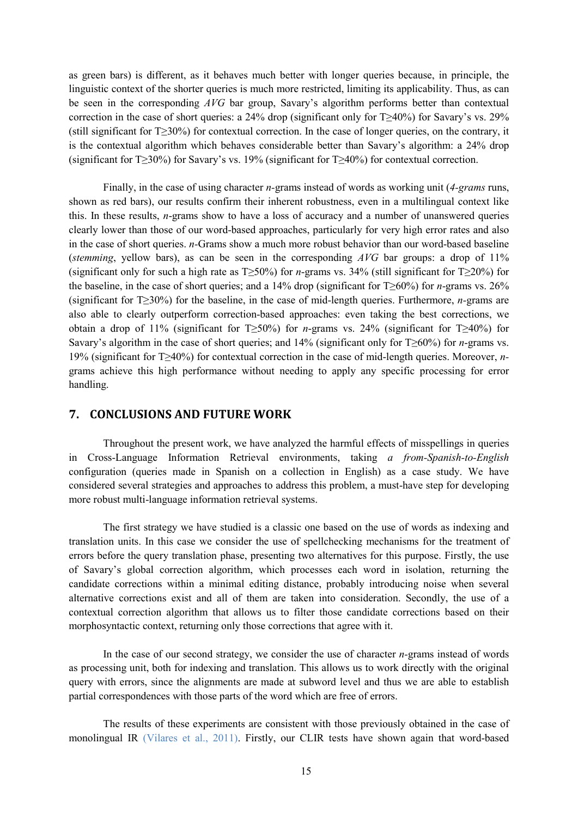as green bars) is different, as it behaves much better with longer queries because, in principle, the linguistic context of the shorter queries is much more restricted, limiting its applicability. Thus, as can be seen in the corresponding *AVG* bar group, Savary's algorithm performs better than contextual correction in the case of short queries: a 24% drop (significant only for T≥40%) for Savary's vs. 29% (still significant for T≥30%) for contextual correction. In the case of longer queries, on the contrary, it is the contextual algorithm which behaves considerable better than Savary's algorithm: a 24% drop (significant for T≥30%) for Savary's vs. 19% (significant for T≥40%) for contextual correction.

Finally, in the case of using character *n-*grams instead of words as working unit (*4-grams* runs, shown as red bars), our results confirm their inherent robustness, even in a multilingual context like this. In these results, *n*-grams show to have a loss of accuracy and a number of unanswered queries clearly lower than those of our word-based approaches, particularly for very high error rates and also in the case of short queries. *n-*Grams show a much more robust behavior than our word-based baseline (*stemming*, yellow bars), as can be seen in the corresponding *AVG* bar groups: a drop of 11% (significant only for such a high rate as T≥50%) for *n*-grams vs. 34% (still significant for T≥20%) for the baseline, in the case of short queries; and a 14% drop (significant for T≥60%) for *n*-grams vs. 26% (significant for T≥30%) for the baseline, in the case of mid-length queries. Furthermore, *n-*grams are also able to clearly outperform correction-based approaches: even taking the best corrections, we obtain a drop of 11% (significant for T≥50%) for *n*-grams vs. 24% (significant for T≥40%) for Savary's algorithm in the case of short queries; and 14% (significant only for T≥60%) for *n*-grams vs. 19% (significant for T≥40%) for contextual correction in the case of mid-length queries. Moreover, *n*grams achieve this high performance without needing to apply any specific processing for error handling.

## **7. CONCLUSIONS AND FUTURE WORK**

Throughout the present work, we have analyzed the harmful effects of misspellings in queries in Cross-Language Information Retrieval environments, taking *a from-Spanish-to-English* configuration (queries made in Spanish on a collection in English) as a case study. We have considered several strategies and approaches to address this problem, a must-have step for developing more robust multi-language information retrieval systems.

The first strategy we have studied is a classic one based on the use of words as indexing and translation units. In this case we consider the use of spellchecking mechanisms for the treatment of errors before the query translation phase, presenting two alternatives for this purpose. Firstly, the use of Savary's global correction algorithm, which processes each word in isolation, returning the candidate corrections within a minimal editing distance, probably introducing noise when several alternative corrections exist and all of them are taken into consideration. Secondly, the use of a contextual correction algorithm that allows us to filter those candidate corrections based on their morphosyntactic context, returning only those corrections that agree with it.

In the case of our second strategy, we consider the use of character *n-*grams instead of words as processing unit, both for indexing and translation. This allows us to work directly with the original query with errors, since the alignments are made at subword level and thus we are able to establish partial correspondences with those parts of the word which are free of errors.

The results of these experiments are consistent with those previously obtained in the case of monolingual IR (Vilares et al., 2011). Firstly, our CLIR tests have shown again that word-based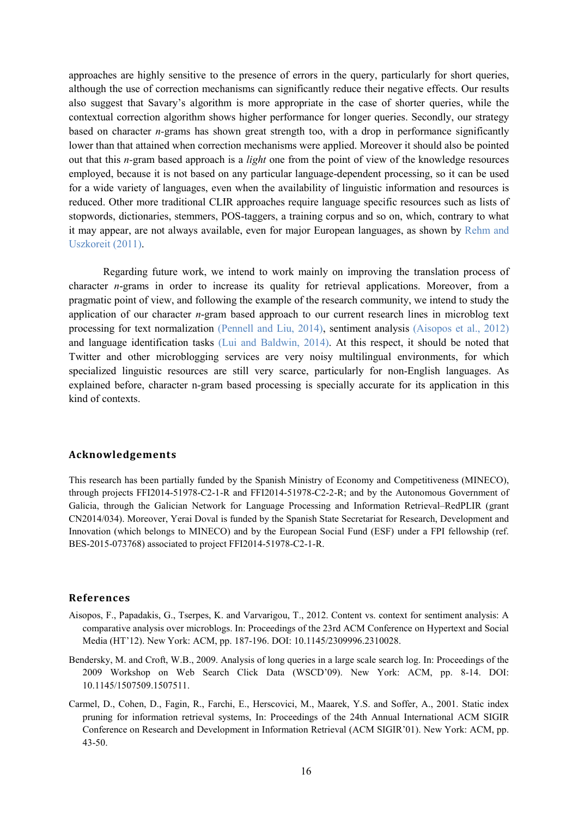approaches are highly sensitive to the presence of errors in the query, particularly for short queries, although the use of correction mechanisms can significantly reduce their negative effects. Our results also suggest that Savary's algorithm is more appropriate in the case of shorter queries, while the contextual correction algorithm shows higher performance for longer queries. Secondly, our strategy based on character *n-*grams has shown great strength too, with a drop in performance significantly lower than that attained when correction mechanisms were applied. Moreover it should also be pointed out that this *n-*gram based approach is a *light* one from the point of view of the knowledge resources employed, because it is not based on any particular language-dependent processing, so it can be used for a wide variety of languages, even when the availability of linguistic information and resources is reduced. Other more traditional CLIR approaches require language specific resources such as lists of stopwords, dictionaries, stemmers, POS-taggers, a training corpus and so on, which, contrary to what it may appear, are not always available, even for major European languages, as shown by Rehm and Uszkoreit (2011).

Regarding future work, we intend to work mainly on improving the translation process of character *n*-grams in order to increase its quality for retrieval applications. Moreover, from a pragmatic point of view, and following the example of the research community, we intend to study the application of our character *n*-gram based approach to our current research lines in microblog text processing for text normalization (Pennell and Liu, 2014), sentiment analysis (Aisopos et al., 2012) and language identification tasks (Lui and Baldwin, 2014). At this respect, it should be noted that Twitter and other microblogging services are very noisy multilingual environments, for which specialized linguistic resources are still very scarce, particularly for non-English languages. As explained before, character n-gram based processing is specially accurate for its application in this kind of contexts.

#### **Acknowledgements**

This research has been partially funded by the Spanish Ministry of Economy and Competitiveness (MINECO), through projects FFI2014-51978-C2-1-R and FFI2014-51978-C2-2-R; and by the Autonomous Government of Galicia, through the Galician Network for Language Processing and Information Retrieval–RedPLIR (grant CN2014/034). Moreover, Yerai Doval is funded by the Spanish State Secretariat for Research, Development and Innovation (which belongs to MINECO) and by the European Social Fund (ESF) under a FPI fellowship (ref. BES-2015-073768) associated to project FFI2014-51978-C2-1-R.

#### **References**

- Aisopos, F., Papadakis, G., Tserpes, K. and Varvarigou, T., 2012. Content vs. context for sentiment analysis: A comparative analysis over microblogs. In: Proceedings of the 23rd ACM Conference on Hypertext and Social Media (HT'12). New York: ACM, pp. 187-196. DOI: 10.1145/2309996.2310028.
- Bendersky, M. and Croft, W.B., 2009. Analysis of long queries in a large scale search log. In: Proceedings of the 2009 Workshop on Web Search Click Data (WSCD'09). New York: ACM, pp. 8-14. DOI: [10.1145/1507509.1507511.](http://doi.acm.org/10.1145/1507509.1507511)
- Carmel, D., Cohen, D., Fagin, R., Farchi, E., Herscovici, M., Maarek, Y.S. and Soffer, A., 2001. Static index pruning for information retrieval systems, In: Proceedings of the 24th Annual International ACM SIGIR Conference on Research and Development in Information Retrieval (ACM SIGIR'01). New York: ACM, pp. 43-50.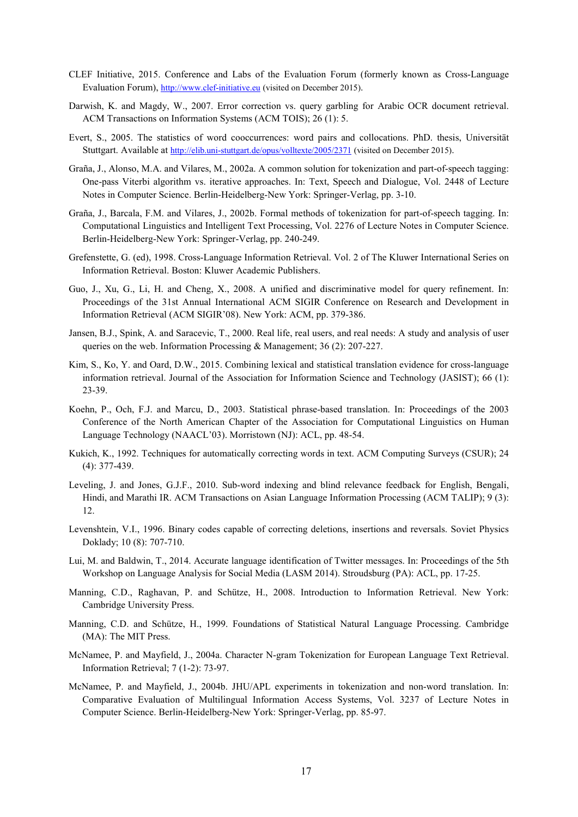- CLEF Initiative, 2015. Conference and Labs of the Evaluation Forum (formerly known as Cross-Language Evaluation Forum), [http://www.clef-initiative.eu](http://www.clef-initiative.eu/) (visited on December 2015).
- Darwish, K. and Magdy, W., 2007. Error correction vs. query garbling for Arabic OCR document retrieval. ACM Transactions on Information Systems (ACM TOIS); 26 (1): 5.
- Evert, S., 2005. The statistics of word cooccurrences: word pairs and collocations. PhD. thesis, Universität Stuttgart. Available a[t http://elib.uni-stuttgart.de/opus/volltexte/2005/2371](http://elib.uni-stuttgart.de/opus/volltexte/2005/2371) (visited on December 2015).
- Graña, J., Alonso, M.A. and Vilares, M., 2002a. A common solution for tokenization and part-of-speech tagging: One-pass Viterbi algorithm vs. iterative approaches. In: Text, Speech and Dialogue, Vol. 2448 of Lecture Notes in Computer Science. Berlin-Heidelberg-New York: Springer-Verlag, pp. 3-10.
- Graña, J., Barcala, F.M. and Vilares, J., 2002b. Formal methods of tokenization for part-of-speech tagging. In: Computational Linguistics and Intelligent Text Processing, Vol. 2276 of Lecture Notes in Computer Science. Berlin-Heidelberg-New York: Springer-Verlag, pp. 240-249.
- Grefenstette, G. (ed), 1998. Cross-Language Information Retrieval. Vol. 2 of The Kluwer International Series on Information Retrieval. Boston: Kluwer Academic Publishers.
- Guo, J., Xu, G., Li, H. and Cheng, X., 2008. A unified and discriminative model for query refinement. In: Proceedings of the 31st Annual International ACM SIGIR Conference on Research and Development in Information Retrieval (ACM SIGIR'08). New York: ACM, pp. 379-386.
- Jansen, B.J., Spink, A. and Saracevic, T., 2000. Real life, real users, and real needs: A study and analysis of user queries on the web. Information Processing & Management; 36 (2): 207-227.
- Kim, S., Ko, Y. and Oard, D.W., 2015. Combining lexical and statistical translation evidence for cross-language information retrieval. Journal of the Association for Information Science and Technology (JASIST); 66 (1): 23-39.
- Koehn, P., Och, F.J. and Marcu, D., 2003. Statistical phrase-based translation. In: Proceedings of the 2003 Conference of the North American Chapter of the Association for Computational Linguistics on Human Language Technology (NAACL'03). Morristown (NJ): ACL, pp. 48-54.
- Kukich, K., 1992. Techniques for automatically correcting words in text. ACM Computing Surveys (CSUR); 24 (4): 377-439.
- Leveling, J. and Jones, G.J.F., 2010. Sub-word indexing and blind relevance feedback for English, Bengali, Hindi, and Marathi IR. ACM Transactions on Asian Language Information Processing (ACM TALIP); 9 (3): 12.
- Levenshtein, V.I., 1996. Binary codes capable of correcting deletions, insertions and reversals. Soviet Physics Doklady; 10 (8): 707-710.
- Lui, M. and Baldwin, T., 2014. Accurate language identification of Twitter messages. In: Proceedings of the 5th Workshop on Language Analysis for Social Media (LASM 2014). Stroudsburg (PA): ACL, pp. 17-25.
- Manning, C.D., Raghavan, P. and Schütze, H., 2008. Introduction to Information Retrieval. New York: Cambridge University Press.
- Manning, C.D. and Schütze, H., 1999. Foundations of Statistical Natural Language Processing. Cambridge (MA): The MIT Press.
- McNamee, P. and Mayfield, J., 2004a. Character N-gram Tokenization for European Language Text Retrieval. Information Retrieval; 7 (1-2): 73-97.
- McNamee, P. and Mayfield, J., 2004b. JHU/APL experiments in tokenization and non-word translation. In: Comparative Evaluation of Multilingual Information Access Systems, Vol. 3237 of Lecture Notes in Computer Science. Berlin-Heidelberg-New York: Springer-Verlag, pp. 85-97.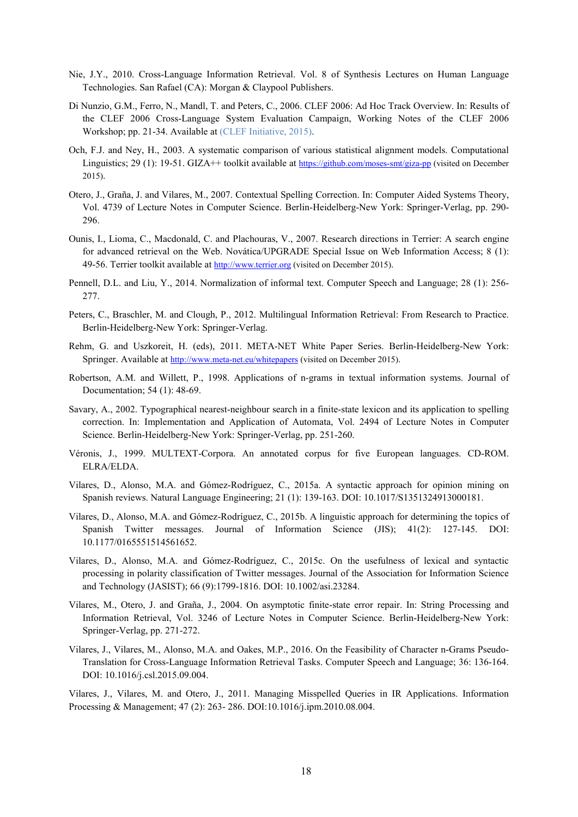- Nie, J.Y., 2010. Cross-Language Information Retrieval. Vol. 8 of Synthesis Lectures on Human Language Technologies. San Rafael (CA): Morgan & Claypool Publishers.
- Di Nunzio, G.M., Ferro, N., Mandl, T. and Peters, C., 2006. CLEF 2006: Ad Hoc Track Overview. In: Results of the CLEF 2006 Cross-Language System Evaluation Campaign, Working Notes of the CLEF 2006 Workshop; pp. 21-34. Available at (CLEF Initiative, 2015).
- Och, F.J. and Ney, H., 2003. A systematic comparison of various statistical alignment models. Computational Linguistics; 29 (1): 19-51. GIZA++ toolkit available at<https://github.com/moses-smt/giza-pp> (visited on December 2015).
- Otero, J., Graña, J. and Vilares, M., 2007. Contextual Spelling Correction. In: Computer Aided Systems Theory, Vol. 4739 of Lecture Notes in Computer Science. Berlin-Heidelberg-New York: Springer-Verlag, pp. 290- 296.
- Ounis, I., Lioma, C., Macdonald, C. and Plachouras, V., 2007. Research directions in Terrier: A search engine for advanced retrieval on the Web. Novática/UPGRADE Special Issue on Web Information Access; 8 (1): 49-56. Terrier toolkit available a[t http://www.terrier.org](http://www.terrier.org/) (visited on December 2015).
- Pennell, D.L. and Liu, Y., 2014. Normalization of informal text. Computer Speech and Language; 28 (1): 256- 277.
- Peters, C., Braschler, M. and Clough, P., 2012. Multilingual Information Retrieval: From Research to Practice. Berlin-Heidelberg-New York: Springer-Verlag.
- Rehm, G. and Uszkoreit, H. (eds), 2011. META-NET White Paper Series. Berlin-Heidelberg-New York: Springer. Available a[t http://www.meta-net.eu/whitepapers](http://www.meta-net.eu/whitepapers) (visited on December 2015).
- Robertson, A.M. and Willett, P., 1998. Applications of n-grams in textual information systems. Journal of Documentation; 54 (1): 48-69.
- Savary, A., 2002. Typographical nearest-neighbour search in a finite-state lexicon and its application to spelling correction. In: Implementation and Application of Automata, Vol. 2494 of Lecture Notes in Computer Science. Berlin-Heidelberg-New York: Springer-Verlag, pp. 251-260.
- Véronis, J., 1999. MULTEXT-Corpora. An annotated corpus for five European languages. CD-ROM. ELRA/ELDA.
- Vilares, D., Alonso, M.A. and Gómez-Rodríguez, C., 2015a. A syntactic approach for opinion mining on Spanish reviews. Natural Language Engineering; 21 (1): 139-163. DOI: 10.1017/S1351324913000181.
- Vilares, D., Alonso, M.A. and Gómez-Rodríguez, C., 2015b. A linguistic approach for determining the topics of Spanish Twitter messages. Journal of Information Science (JIS); 41(2): 127-145. DOI: 10.1177/0165551514561652.
- Vilares, D., Alonso, M.A. and Gómez-Rodríguez, C., 2015c. On the usefulness of lexical and syntactic processing in polarity classification of Twitter messages. Journal of the Association for Information Science and Technology (JASIST); 66 (9):1799-1816. DOI: 10.1002/asi.23284.
- Vilares, M., Otero, J. and Graña, J., 2004. On asymptotic finite-state error repair. In: String Processing and Information Retrieval, Vol. 3246 of Lecture Notes in Computer Science. Berlin-Heidelberg-New York: Springer-Verlag, pp. 271-272.
- Vilares, J., Vilares, M., Alonso, M.A. and Oakes, M.P., 2016. On the Feasibility of Character n-Grams Pseudo-Translation for Cross-Language Information Retrieval Tasks. Computer Speech and Language; 36: 136-164. DOI: 10.1016/j.csl.2015.09.004.

Vilares, J., Vilares, M. and Otero, J., 2011. Managing Misspelled Queries in IR Applications. Information Processing & Management; 47 (2): 263- 286. DOI:10.1016/j.ipm.2010.08.004.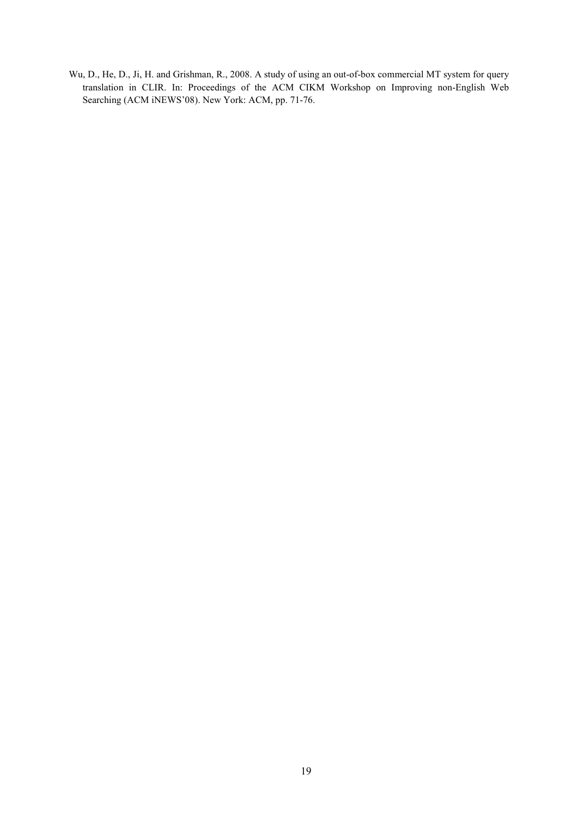Wu, D., He, D., Ji, H. and Grishman, R., 2008. A study of using an out-of-box commercial MT system for query translation in CLIR. In: Proceedings of the ACM CIKM Workshop on Improving non-English Web Searching (ACM iNEWS'08). New York: ACM, pp. 71-76.